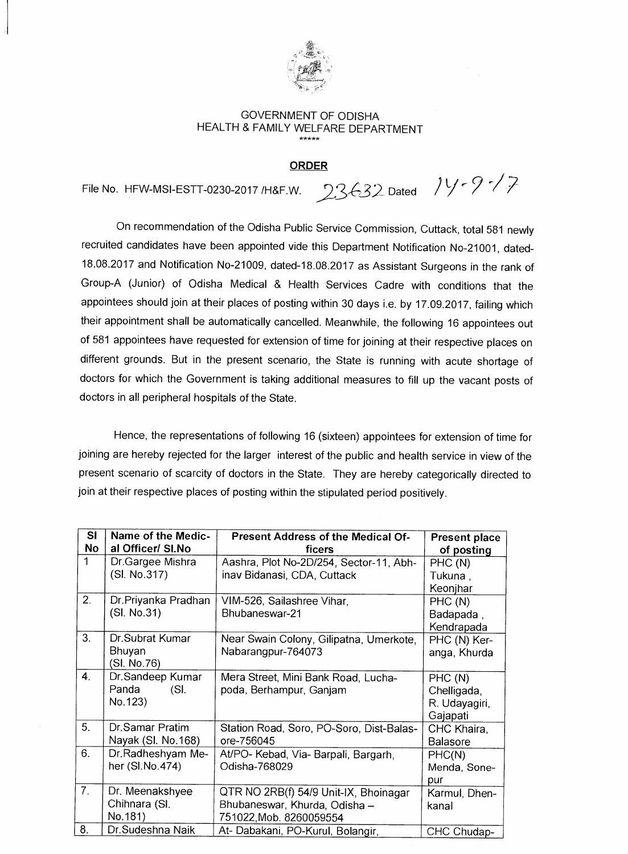

## GOVERNMENT OF ODISHA HEALTH & FAMILY WELFARE DEPARTMENT

## **ORDER**

File No. HFW-MSI-ESTT-0230-2017 /H&F.W.  $23632$  Dated  $74.97$ 

On recommendation of the Odisha Public Service Commission, Cuttack, total 581 newly recruited candidates have been appointed vide this Department Notification No-21001, dated-18.08.2017 and Notification No-21009, dated-18.08.2017 as Assistant Surgeons in the rank of Group-A (Junior) of Odisha Medical & Health Services Cadre with conditions that the appointees should join at their places of posting within 30 days i.e. by 17.09.2017, failing which their appointment shall be automatically cancelled. Meanwhile, the following 16 appointees out of 581 appointees have requested for extension of time for joining at their respective places on different grounds. But in the present scenario, the State is running with acute shortage of doctors for which the Government is taking additional measures to fill up the vacant posts of doctors in all peripheral hospitals of the State.

Hence, the representations of following 16 (sixteen) appointees for extension of time for joining are hereby rejected for the larger interest of the public and health service in view of the present scenario of scarcity of doctors in the State. They are hereby categorically directed to join at their respective places of posting within the stipulated period positively.

| SI             | Name of the Medic-  | Present Address of the Medical Of-       | <b>Present place</b> |
|----------------|---------------------|------------------------------------------|----------------------|
| No             | al Officer/ SI.No   | ficers                                   | of posting           |
| 1              | Dr.Gargee Mishra    | Aashra, Plot No-2D/254, Sector-11, Abh-  | PHC(N)               |
|                | (SI. No.317)        | inav Bidanasi, CDA, Cuttack              | Tukuna,              |
|                |                     |                                          | Keonjhar             |
| 2.             | Dr.Priyanka Pradhan | VIM-526, Sailashree Vihar,               | PHC (N)              |
|                | (SI. No.31)         | Bhubaneswar-21                           | Badapada,            |
|                |                     |                                          | Kendrapada           |
| 3.             | Dr.Subrat Kumar     | Near Swain Colony, Gilipatna, Umerkote,  | PHC (N) Ker-         |
|                | Bhuyan              | Nabarangpur-764073                       | anga, Khurda         |
|                | (SI. No.76)         |                                          |                      |
| 4.             | Dr.Sandeep Kumar    | Mera Street, Mini Bank Road, Lucha-      | PHC (N)              |
|                | Panda<br>(SI.       | poda, Berhampur, Ganjam                  | Chelligada,          |
|                | No.123)             |                                          | R. Udayagiri,        |
|                |                     |                                          | Gajapati             |
| 5.             | Dr.Samar Pratim     | Station Road, Soro, PO-Soro, Dist-Balas- | CHC Khaira,          |
|                | Nayak (SI. No. 168) | ore-756045                               | <b>Balasore</b>      |
| 6.             | Dr.Radheshyam Me-   | At/PO- Kebad, Via- Barpali, Bargarh,     | PHC(N)               |
|                | her (SI.No.474)     | Odisha-768029                            | Menda, Sone-         |
|                |                     |                                          | pur                  |
| 7 <sub>1</sub> | Dr. Meenakshyee     | QTR NO 2RB(f) 54/9 Unit-IX, Bhoinagar    | Karmul, Dhen-        |
|                | Chihnara (SI.       | Bhubaneswar, Khurda, Odisha -            | kanal                |
|                | No.181)             | 751022, Mob. 8260059554                  |                      |
| 8.             | Dr. Sudeshna Naik   | At- Dabakani, PO-Kurul, Bolangir,        | CHC Chudap-          |